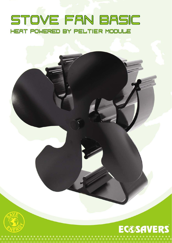## STOVE FAN BASIC HEAT POWERED BY PELTIER MODULE